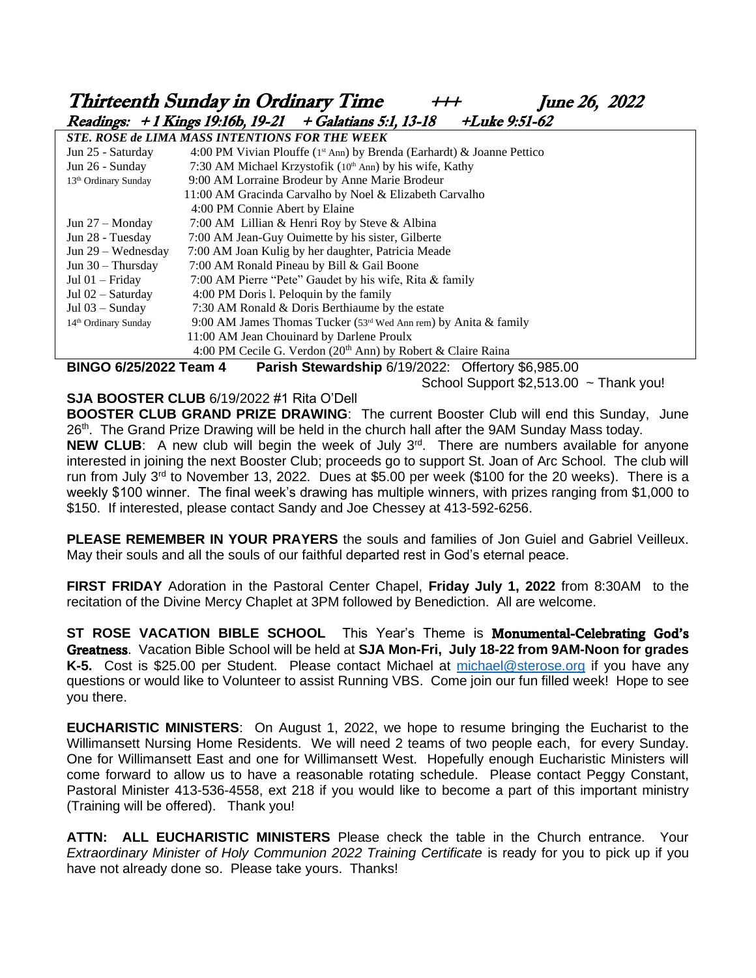# Thirteenth Sunday in Ordinary Time  $+++$  June 26, 2022 Readings: + 1 Kings 19:16b, 19-21 + Galatians 5:1, 13-18 +Luke 9:51-62

| <b>STE. ROSE de LIMA MASS INTENTIONS FOR THE WEEK</b> |                                                                           |  |  |  |  |  |  |  |
|-------------------------------------------------------|---------------------------------------------------------------------------|--|--|--|--|--|--|--|
| Jun 25 - Saturday                                     | 4:00 PM Vivian Plouffe ( $1st$ Ann) by Brenda (Earhardt) & Joanne Pettico |  |  |  |  |  |  |  |
| Jun 26 - Sunday                                       | 7:30 AM Michael Krzystofik (10 <sup>th</sup> Ann) by his wife, Kathy      |  |  |  |  |  |  |  |
| 13 <sup>th</sup> Ordinary Sunday                      | 9:00 AM Lorraine Brodeur by Anne Marie Brodeur                            |  |  |  |  |  |  |  |
|                                                       | 11:00 AM Gracinda Carvalho by Noel & Elizabeth Carvalho                   |  |  |  |  |  |  |  |
|                                                       | 4:00 PM Connie Abert by Elaine                                            |  |  |  |  |  |  |  |
| Jun $27 -$ Monday                                     | 7:00 AM Lillian & Henri Roy by Steve & Albina                             |  |  |  |  |  |  |  |
| Jun 28 - Tuesday                                      | 7:00 AM Jean-Guy Ouimette by his sister, Gilberte                         |  |  |  |  |  |  |  |
| Jun $29$ – Wednesday                                  | 7:00 AM Joan Kulig by her daughter, Patricia Meade                        |  |  |  |  |  |  |  |
| Jun $30 -$ Thursday                                   | 7:00 AM Ronald Pineau by Bill & Gail Boone                                |  |  |  |  |  |  |  |
| Jul $01 -$ Friday                                     | 7:00 AM Pierre "Pete" Gaudet by his wife, Rita & family                   |  |  |  |  |  |  |  |
| Jul 02 - Saturday                                     | 4:00 PM Doris 1. Peloquin by the family                                   |  |  |  |  |  |  |  |
| Jul $03 -$ Sunday                                     | 7:30 AM Ronald & Doris Berthiaume by the estate                           |  |  |  |  |  |  |  |
| 14 <sup>th</sup> Ordinary Sunday                      | 9:00 AM James Thomas Tucker ( $53rd$ Wed Ann rem) by Anita & family       |  |  |  |  |  |  |  |
|                                                       | 11:00 AM Jean Chouinard by Darlene Proulx                                 |  |  |  |  |  |  |  |
|                                                       | 4:00 PM Cecile G. Verdon (20 <sup>th</sup> Ann) by Robert & Claire Raina  |  |  |  |  |  |  |  |
|                                                       |                                                                           |  |  |  |  |  |  |  |

**BINGO 6/25/2022 Team 4****Parish Stewardship** 6/19/2022: Offertory \$6,985.00

School Support  $$2,513.00$  ~ Thank you!

**SJA BOOSTER CLUB** 6/19/2022 #1 Rita O'Dell

**BOOSTER CLUB GRAND PRIZE DRAWING**: The current Booster Club will end this Sunday, June 26<sup>th</sup>. The Grand Prize Drawing will be held in the church hall after the 9AM Sunday Mass today.

**NEW CLUB:** A new club will begin the week of July 3<sup>rd</sup>. There are numbers available for anyone interested in joining the next Booster Club; proceeds go to support St. Joan of Arc School. The club will run from July 3<sup>rd</sup> to November 13, 2022. Dues at \$5.00 per week (\$100 for the 20 weeks). There is a weekly \$100 winner. The final week's drawing has multiple winners, with prizes ranging from \$1,000 to \$150. If interested, please contact Sandy and Joe Chessey at 413-592-6256.

**PLEASE REMEMBER IN YOUR PRAYERS** the souls and families of Jon Guiel and Gabriel Veilleux. May their souls and all the souls of our faithful departed rest in God's eternal peace.

**FIRST FRIDAY** Adoration in the Pastoral Center Chapel, **Friday July 1, 2022** from 8:30AM to the recitation of the Divine Mercy Chaplet at 3PM followed by Benediction. All are welcome.

**ST ROSE VACATION BIBLE SCHOOL** This Year's Theme is Monumental-Celebrating God's Greatness. Vacation Bible School will be held at **SJA Mon-Fri, July 18-22 from 9AM-Noon for grades**  K-5. Cost is \$25.00 per Student. Please contact Michael at [michael@sterose.org](mailto:michael@sterose.org) if you have any questions or would like to Volunteer to assist Running VBS. Come join our fun filled week! Hope to see you there.

**EUCHARISTIC MINISTERS**: On August 1, 2022, we hope to resume bringing the Eucharist to the Willimansett Nursing Home Residents. We will need 2 teams of two people each, for every Sunday. One for Willimansett East and one for Willimansett West. Hopefully enough Eucharistic Ministers will come forward to allow us to have a reasonable rotating schedule. Please contact Peggy Constant, Pastoral Minister 413-536-4558, ext 218 if you would like to become a part of this important ministry (Training will be offered). Thank you!

**ATTN: ALL EUCHARISTIC MINISTERS** Please check the table in the Church entrance. Your *Extraordinary Minister of Holy Communion 2022 Training Certificate* is ready for you to pick up if you have not already done so. Please take yours. Thanks!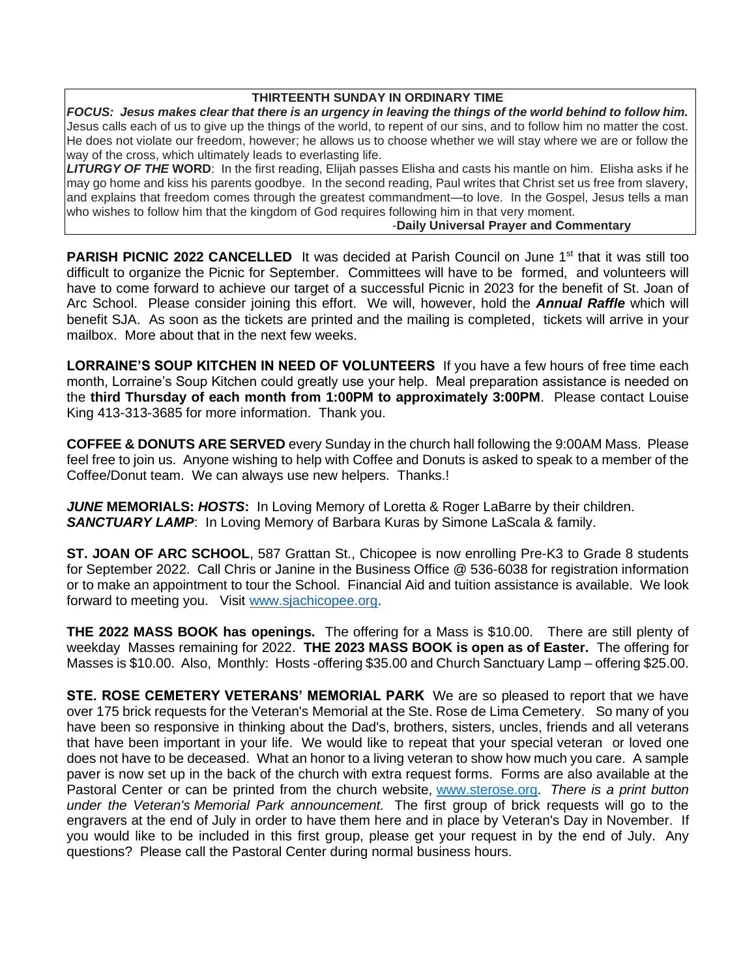#### **THIRTEENTH SUNDAY IN ORDINARY TIME**

*FOCUS: Jesus makes clear that there is an urgency in leaving the things of the world behind to follow him.*  Jesus calls each of us to give up the things of the world, to repent of our sins, and to follow him no matter the cost. He does not violate our freedom, however; he allows us to choose whether we will stay where we are or follow the way of the cross, which ultimately leads to everlasting life.

*LITURGY OF THE* **WORD**: In the first reading, Elijah passes Elisha and casts his mantle on him. Elisha asks if he may go home and kiss his parents goodbye. In the second reading, Paul writes that Christ set us free from slavery, and explains that freedom comes through the greatest commandment—to love. In the Gospel, Jesus tells a man who wishes to follow him that the kingdom of God requires following him in that very moment.

#### -**Daily Universal Prayer and Commentary**

**PARISH PICNIC 2022 CANCELLED** It was decided at Parish Council on June 1<sup>st</sup> that it was still too difficult to organize the Picnic for September. Committees will have to be formed, and volunteers will have to come forward to achieve our target of a successful Picnic in 2023 for the benefit of St. Joan of Arc School. Please consider joining this effort. We will, however, hold the *Annual Raffle* which will benefit SJA. As soon as the tickets are printed and the mailing is completed, tickets will arrive in your mailbox. More about that in the next few weeks.

**LORRAINE'S SOUP KITCHEN IN NEED OF VOLUNTEERS** If you have a few hours of free time each month, Lorraine's Soup Kitchen could greatly use your help. Meal preparation assistance is needed on the **third Thursday of each month from 1:00PM to approximately 3:00PM**. Please contact Louise King 413-313-3685 for more information. Thank you.

**COFFEE & DONUTS ARE SERVED** every Sunday in the church hall following the 9:00AM Mass. Please feel free to join us. Anyone wishing to help with Coffee and Donuts is asked to speak to a member of the Coffee/Donut team. We can always use new helpers. Thanks.!

*JUNE* **MEMORIALS:** *HOSTS***:** In Loving Memory of Loretta & Roger LaBarre by their children. *SANCTUARY LAMP*: In Loving Memory of Barbara Kuras by Simone LaScala & family.

**ST. JOAN OF ARC SCHOOL**, 587 Grattan St., Chicopee is now enrolling Pre-K3 to Grade 8 students for September 2022. Call Chris or Janine in the Business Office @ 536-6038 for registration information or to make an appointment to tour the School. Financial Aid and tuition assistance is available. We look forward to meeting you. Visit [www.sjachicopee.org.](http://www.sjachicopee.org/)

**THE 2022 MASS BOOK has openings.** The offering for a Mass is \$10.00. There are still plenty of weekday Masses remaining for 2022. **THE 2023 MASS BOOK is open as of Easter.** The offering for Masses is \$10.00. Also, Monthly: Hosts -offering \$35.00 and Church Sanctuary Lamp – offering \$25.00.

**STE. ROSE CEMETERY VETERANS' MEMORIAL PARK** We are so pleased to report that we have over 175 brick requests for the Veteran's Memorial at the Ste. Rose de Lima Cemetery. So many of you have been so responsive in thinking about the Dad's, brothers, sisters, uncles, friends and all veterans that have been important in your life. We would like to repeat that your special veteran or loved one does not have to be deceased. What an honor to a living veteran to show how much you care. A sample paver is now set up in the back of the church with extra request forms. Forms are also available at the Pastoral Center or can be printed from the church website, [www.sterose.org.](http://www.sterose.org/) *There is a print button under the Veteran's Memorial Park announcement.* The first group of brick requests will go to the engravers at the end of July in order to have them here and in place by Veteran's Day in November. If you would like to be included in this first group, please get your request in by the end of July. Any questions? Please call the Pastoral Center during normal business hours.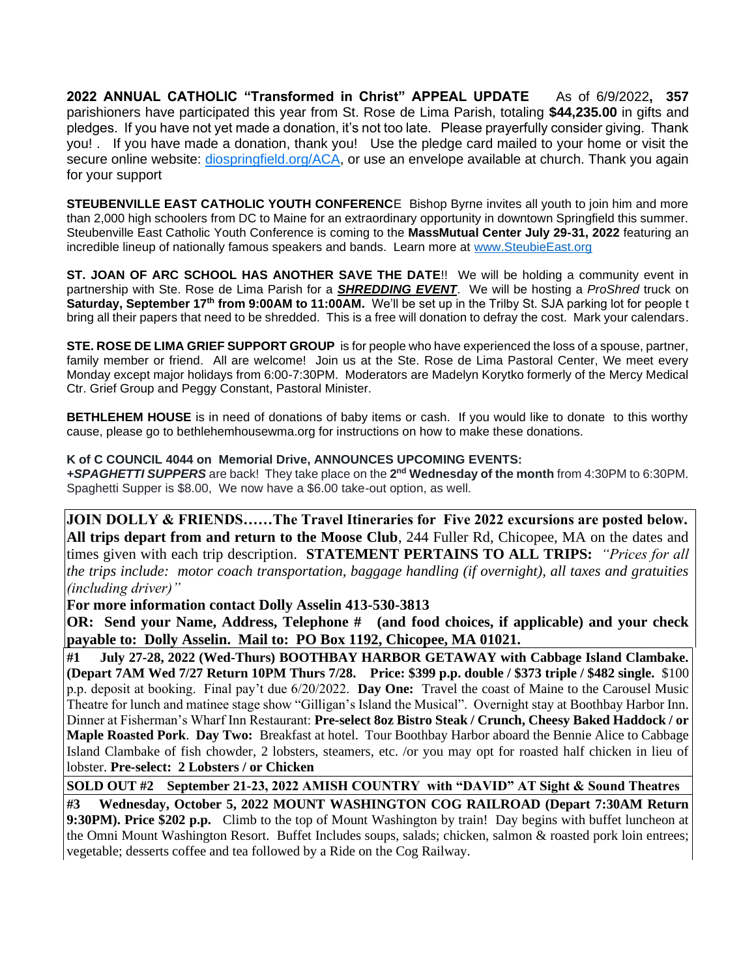**2022 ANNUAL CATHOLIC "Transformed in Christ" APPEAL UPDATE** As of 6/9/2022**, 357** parishioners have participated this year from St. Rose de Lima Parish, totaling **\$44,235.00** in gifts and pledges. If you have not yet made a donation, it's not too late. Please prayerfully consider giving. Thank you! . If you have made a donation, thank you! Use the pledge card mailed to your home or visit the secure online website: [diospringfield.org/ACA,](http://diospringfield.org/ACA) or use an envelope available at church. Thank you again for your support

**STEUBENVILLE EAST CATHOLIC YOUTH CONFERENC**E Bishop Byrne invites all youth to join him and more than 2,000 high schoolers from DC to Maine for an extraordinary opportunity in downtown Springfield this summer. Steubenville East Catholic Youth Conference is coming to the **MassMutual Center July 29-31, 2022** featuring an incredible lineup of nationally famous speakers and bands. Learn more at [www.SteubieEast.org](http://www.steubieeast.org/) 

**ST. JOAN OF ARC SCHOOL HAS ANOTHER SAVE THE DATE**!! We will be holding a community event in partnership with Ste. Rose de Lima Parish for a *SHREDDING EVENT*. We will be hosting a *ProShred* truck on **Saturday, September 17th from 9:00AM to 11:00AM.** We'll be set up in the Trilby St. SJA parking lot for people t bring all their papers that need to be shredded. This is a free will donation to defray the cost. Mark your calendars.

**STE. ROSE DE LIMA GRIEF SUPPORT GROUP** is for people who have experienced the loss of a spouse, partner, family member or friend. All are welcome! Join us at the Ste. Rose de Lima Pastoral Center, We meet every Monday except major holidays from 6:00-7:30PM. Moderators are Madelyn Korytko formerly of the Mercy Medical Ctr. Grief Group and Peggy Constant, Pastoral Minister.

**BETHLEHEM HOUSE** is in need of donations of baby items or cash. If you would like to donate to this worthy cause, please go to bethlehemhousewma.org for instructions on how to make these donations.

#### **K of C COUNCIL 4044 on Memorial Drive, ANNOUNCES UPCOMING EVENTS:**

**+SPAGHETTI SUPPERS** are back! They take place on the 2<sup>nd</sup> Wednesday of the month from 4:30PM to 6:30PM. Spaghetti Supper is \$8.00, We now have a \$6.00 take-out option, as well.

**JOIN DOLLY & FRIENDS……The Travel Itineraries for Five 2022 excursions are posted below. All trips depart from and return to the Moose Club**, 244 Fuller Rd, Chicopee, MA on the dates and times given with each trip description. **STATEMENT PERTAINS TO ALL TRIPS:** *"Prices for all the trips include: motor coach transportation, baggage handling (if overnight), all taxes and gratuities (including driver)"* 

**For more information contact Dolly Asselin 413-530-3813**

**OR: Send your Name, Address, Telephone # (and food choices, if applicable) and your check payable to: Dolly Asselin. Mail to: PO Box 1192, Chicopee, MA 01021.** 

**#1 July 27-28, 2022 (Wed-Thurs) BOOTHBAY HARBOR GETAWAY with Cabbage Island Clambake. (Depart 7AM Wed 7/27 Return 10PM Thurs 7/28. Price: \$399 p.p. double / \$373 triple / \$482 single.** \$100 p.p. deposit at booking. Final pay't due 6/20/2022. **Day One:** Travel the coast of Maine to the Carousel Music Theatre for lunch and matinee stage show "Gilligan's Island the Musical". Overnight stay at Boothbay Harbor Inn. Dinner at Fisherman's Wharf Inn Restaurant: **Pre-select 8oz Bistro Steak / Crunch, Cheesy Baked Haddock / or Maple Roasted Pork**. **Day Two:** Breakfast at hotel. Tour Boothbay Harbor aboard the Bennie Alice to Cabbage Island Clambake of fish chowder, 2 lobsters, steamers, etc. /or you may opt for roasted half chicken in lieu of lobster. **Pre-select: 2 Lobsters / or Chicken**

**SOLD OUT #2 September 21-23, 2022 AMISH COUNTRY with "DAVID" AT Sight & Sound Theatres** 

**#3 Wednesday, October 5, 2022 MOUNT WASHINGTON COG RAILROAD (Depart 7:30AM Return 9:30PM). Price \$202 p.p.** Climb to the top of Mount Washington by train! Day begins with buffet luncheon at the Omni Mount Washington Resort. Buffet Includes soups, salads; chicken, salmon & roasted pork loin entrees; vegetable; desserts coffee and tea followed by a Ride on the Cog Railway.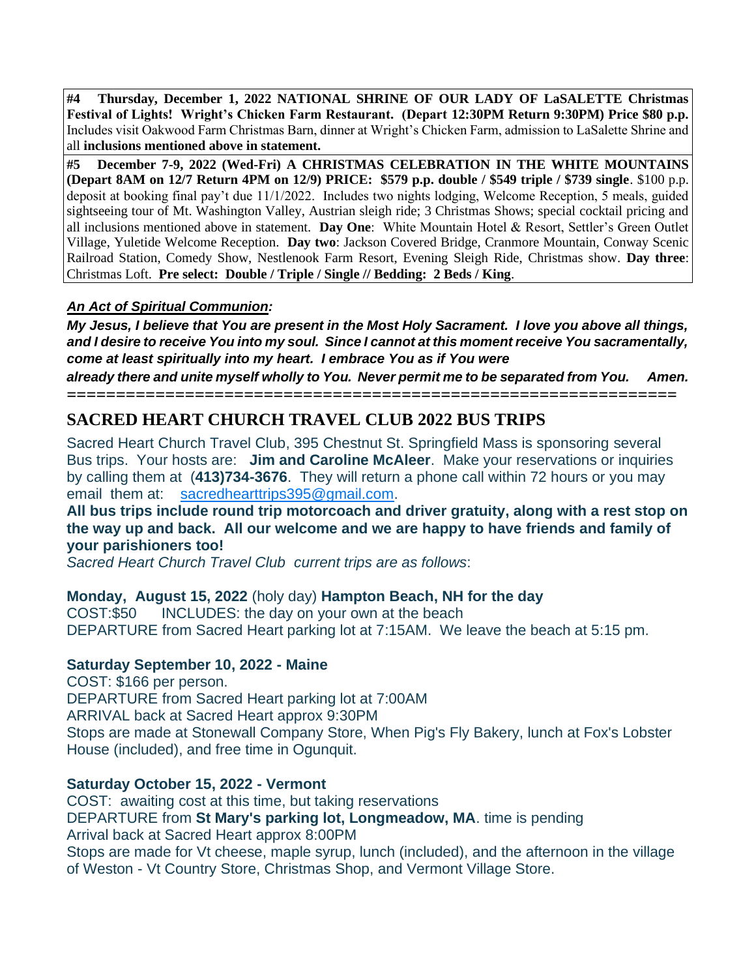**#4 Thursday, December 1, 2022 NATIONAL SHRINE OF OUR LADY OF LaSALETTE Christmas Festival of Lights! Wright's Chicken Farm Restaurant. (Depart 12:30PM Return 9:30PM) Price \$80 p.p.** Includes visit Oakwood Farm Christmas Barn, dinner at Wright's Chicken Farm, admission to LaSalette Shrine and all **inclusions mentioned above in statement.** 

**#5 December 7-9, 2022 (Wed-Fri) A CHRISTMAS CELEBRATION IN THE WHITE MOUNTAINS (Depart 8AM on 12/7 Return 4PM on 12/9) PRICE: \$579 p.p. double / \$549 triple / \$739 single**. \$100 p.p. deposit at booking final pay't due 11/1/2022. Includes two nights lodging, Welcome Reception, 5 meals, guided sightseeing tour of Mt. Washington Valley, Austrian sleigh ride; 3 Christmas Shows; special cocktail pricing and all inclusions mentioned above in statement. **Day One**: White Mountain Hotel & Resort, Settler's Green Outlet Village, Yuletide Welcome Reception. **Day two**: Jackson Covered Bridge, Cranmore Mountain, Conway Scenic Railroad Station, Comedy Show, Nestlenook Farm Resort, Evening Sleigh Ride, Christmas show. **Day three**: Christmas Loft. **Pre select: Double / Triple / Single // Bedding: 2 Beds / King**.

#### *An Act of Spiritual Communion:*

*My Jesus, I believe that You are present in the Most Holy Sacrament. I love you above all things, and I desire to receive You into my soul. Since I cannot at this moment receive You sacramentally, come at least spiritually into my heart. I embrace You as if You were*

*already there and unite myself wholly to You. Never permit me to be separated from You. Amen.*

## **============================================================== SACRED HEART CHURCH TRAVEL CLUB 2022 BUS TRIPS**

Sacred Heart Church Travel Club, 395 Chestnut St. Springfield Mass is sponsoring several Bus trips. Your hosts are: **Jim and Caroline McAleer**. Make your reservations or inquiries by calling them at (**413)734-3676**. They will return a phone call within 72 hours or you may email them at: [sacredhearttrips395@gmail.com.](mailto:sacredhearttrips395@gmail.com)

#### **All bus trips include round trip motorcoach and driver gratuity, along with a rest stop on the way up and back. All our welcome and we are happy to have friends and family of your parishioners too!**

*Sacred Heart Church Travel Club current trips are as follows*:

## **Monday, August 15, 2022** (holy day) **Hampton Beach, NH for the day**

COST:\$50 INCLUDES: the day on your own at the beach DEPARTURE from Sacred Heart parking lot at 7:15AM. We leave the beach at 5:15 pm.

## **Saturday September 10, 2022 - Maine**

COST: \$166 per person. DEPARTURE from Sacred Heart parking lot at 7:00AM ARRIVAL back at Sacred Heart approx 9:30PM Stops are made at Stonewall Company Store, When Pig's Fly Bakery, lunch at Fox's Lobster House (included), and free time in Ogunquit.

## **Saturday October 15, 2022 - Vermont**

COST: awaiting cost at this time, but taking reservations DEPARTURE from **St Mary's parking lot, Longmeadow, MA**. time is pending Arrival back at Sacred Heart approx 8:00PM Stops are made for Vt cheese, maple syrup, lunch (included), and the afternoon in the village of Weston - Vt Country Store, Christmas Shop, and Vermont Village Store.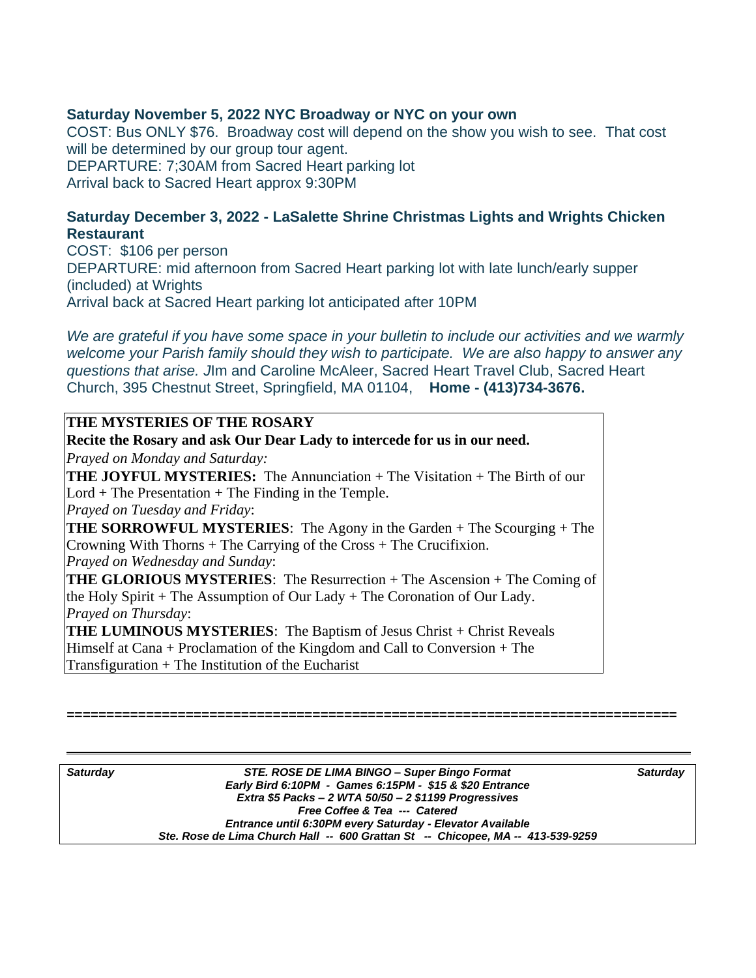#### **Saturday November 5, 2022 NYC Broadway or NYC on your own**

COST: Bus ONLY \$76. Broadway cost will depend on the show you wish to see. That cost will be determined by our group tour agent. DEPARTURE: 7;30AM from Sacred Heart parking lot Arrival back to Sacred Heart approx 9:30PM

#### **Saturday December 3, 2022 - LaSalette Shrine Christmas Lights and Wrights Chicken Restaurant**

COST: \$106 per person DEPARTURE: mid afternoon from Sacred Heart parking lot with late lunch/early supper (included) at Wrights Arrival back at Sacred Heart parking lot anticipated after 10PM

*We are grateful if you have some space in your bulletin to include our activities and we warmly welcome your Parish family should they wish to participate. We are also happy to answer any questions that arise. J*Im and Caroline McAleer, Sacred Heart Travel Club, Sacred Heart Church, 395 Chestnut Street, Springfield, MA 01104, **Home - (413)734-3676.** 

## **THE MYSTERIES OF THE ROSARY**

**Recite the Rosary and ask Our Dear Lady to intercede for us in our need.** *Prayed on Monday and Saturday:*  **THE JOYFUL MYSTERIES:** The Annunciation + The Visitation + The Birth of our  $Lord + The Presentation + The Finding in the Temple.$ *Prayed on Tuesday and Friday*: **THE SORROWFUL MYSTERIES**: The Agony in the Garden + The Scourging + The Crowning With Thorns + The Carrying of the Cross + The Crucifixion. *Prayed on Wednesday and Sunday*: **THE GLORIOUS MYSTERIES**: The Resurrection + The Ascension + The Coming of the Holy Spirit + The Assumption of Our Lady + The Coronation of Our Lady. *Prayed on Thursday*: **THE LUMINOUS MYSTERIES:** The Baptism of Jesus Christ + Christ Reveals Himself at Cana + Proclamation of the Kingdom and Call to Conversion + The Transfiguration  $+$  The Institution of the Eucharist

| <b>Saturday</b> | STE. ROSE DE LIMA BINGO - Super Bingo Format                                    | <b>Saturday</b> |
|-----------------|---------------------------------------------------------------------------------|-----------------|
|                 | Early Bird 6:10PM - Games 6:15PM - \$15 & \$20 Entrance                         |                 |
|                 | Extra \$5 Packs - 2 WTA $50/50 - 2$ \$1199 Progressives                         |                 |
|                 | Free Coffee & Tea --- Catered                                                   |                 |
|                 | Entrance until 6:30PM every Saturday - Elevator Available                       |                 |
|                 | Ste. Rose de Lima Church Hall -- 600 Grattan St -- Chicopee, MA -- 413-539-9259 |                 |

**=============================================================================**